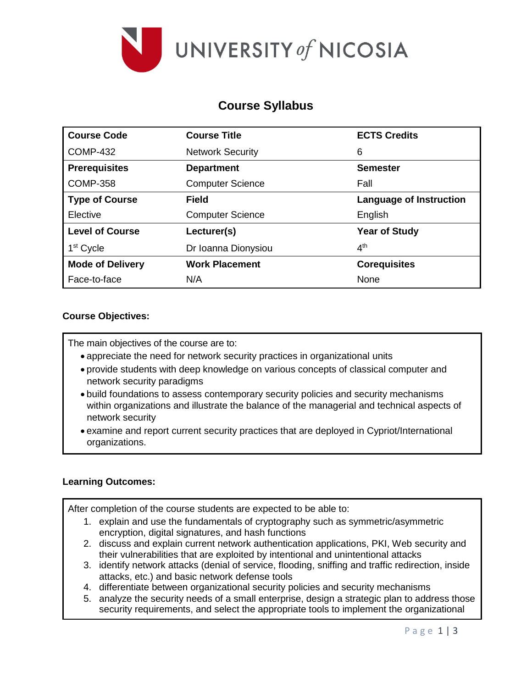

# **Course Syllabus**

| <b>Course Code</b>      | <b>Course Title</b>     | <b>ECTS Credits</b>            |
|-------------------------|-------------------------|--------------------------------|
| <b>COMP-432</b>         | <b>Network Security</b> | 6                              |
| <b>Prerequisites</b>    | <b>Department</b>       | <b>Semester</b>                |
| <b>COMP-358</b>         | <b>Computer Science</b> | Fall                           |
| <b>Type of Course</b>   | <b>Field</b>            | <b>Language of Instruction</b> |
| Elective                | <b>Computer Science</b> | English                        |
| <b>Level of Course</b>  | Lecturer(s)             | <b>Year of Study</b>           |
| 1 <sup>st</sup> Cycle   | Dr Ioanna Dionysiou     | 4 <sup>th</sup>                |
| <b>Mode of Delivery</b> | <b>Work Placement</b>   | <b>Corequisites</b>            |
| Face-to-face            | N/A                     | None                           |

#### **Course Objectives:**

The main objectives of the course are to:

- appreciate the need for network security practices in organizational units
- provide students with deep knowledge on various concepts of classical computer and network security paradigms
- build foundations to assess contemporary security policies and security mechanisms within organizations and illustrate the balance of the managerial and technical aspects of network security
- examine and report current security practices that are deployed in Cypriot/International organizations.

### **Learning Outcomes:**

After completion of the course students are expected to be able to:

- 1. explain and use the fundamentals of cryptography such as symmetric/asymmetric encryption, digital signatures, and hash functions
- 2. discuss and explain current network authentication applications, PKI, Web security and their vulnerabilities that are exploited by intentional and unintentional attacks
- 3. identify network attacks (denial of service, flooding, sniffing and traffic redirection, inside attacks, etc.) and basic network defense tools
- 4. differentiate between organizational security policies and security mechanisms
- 5. analyze the security needs of a small enterprise, design a strategic plan to address those security requirements, and select the appropriate tools to implement the organizational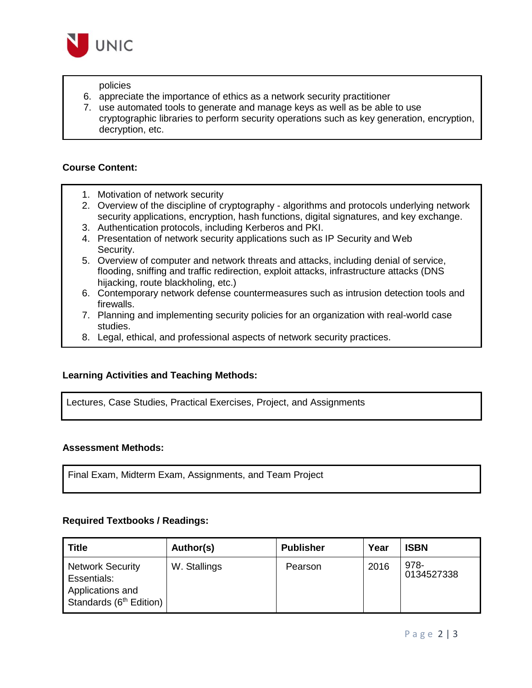

policies

- 6. appreciate the importance of ethics as a network security practitioner
- 7. use automated tools to generate and manage keys as well as be able to use cryptographic libraries to perform security operations such as key generation, encryption, decryption, etc.

#### **Course Content:**

- 1. Motivation of network security
- 2. Overview of the discipline of cryptography algorithms and protocols underlying network security applications, encryption, hash functions, digital signatures, and key exchange.
- 3. Authentication protocols, including Kerberos and PKI.
- 4. Presentation of network security applications such as IP Security and Web Security.
- 5. Overview of computer and network threats and attacks, including denial of service, flooding, sniffing and traffic redirection, exploit attacks, infrastructure attacks (DNS hijacking, route blackholing, etc.)
- 6. Contemporary network defense countermeasures such as intrusion detection tools and firewalls.
- 7. Planning and implementing security policies for an organization with real-world case studies.
- 8. Legal, ethical, and professional aspects of network security practices.

#### **Learning Activities and Teaching Methods:**

Lectures, Case Studies, Practical Exercises, Project, and Assignments

#### **Assessment Methods:**

Final Exam, Midterm Exam, Assignments, and Team Project

#### **Required Textbooks / Readings:**

| <b>Title</b>                                                                                      | Author(s)    | <b>Publisher</b> | Year | <b>ISBN</b>        |
|---------------------------------------------------------------------------------------------------|--------------|------------------|------|--------------------|
| <b>Network Security</b><br>Essentials:<br>Applications and<br>Standards (6 <sup>th</sup> Edition) | W. Stallings | Pearson          | 2016 | 978-<br>0134527338 |